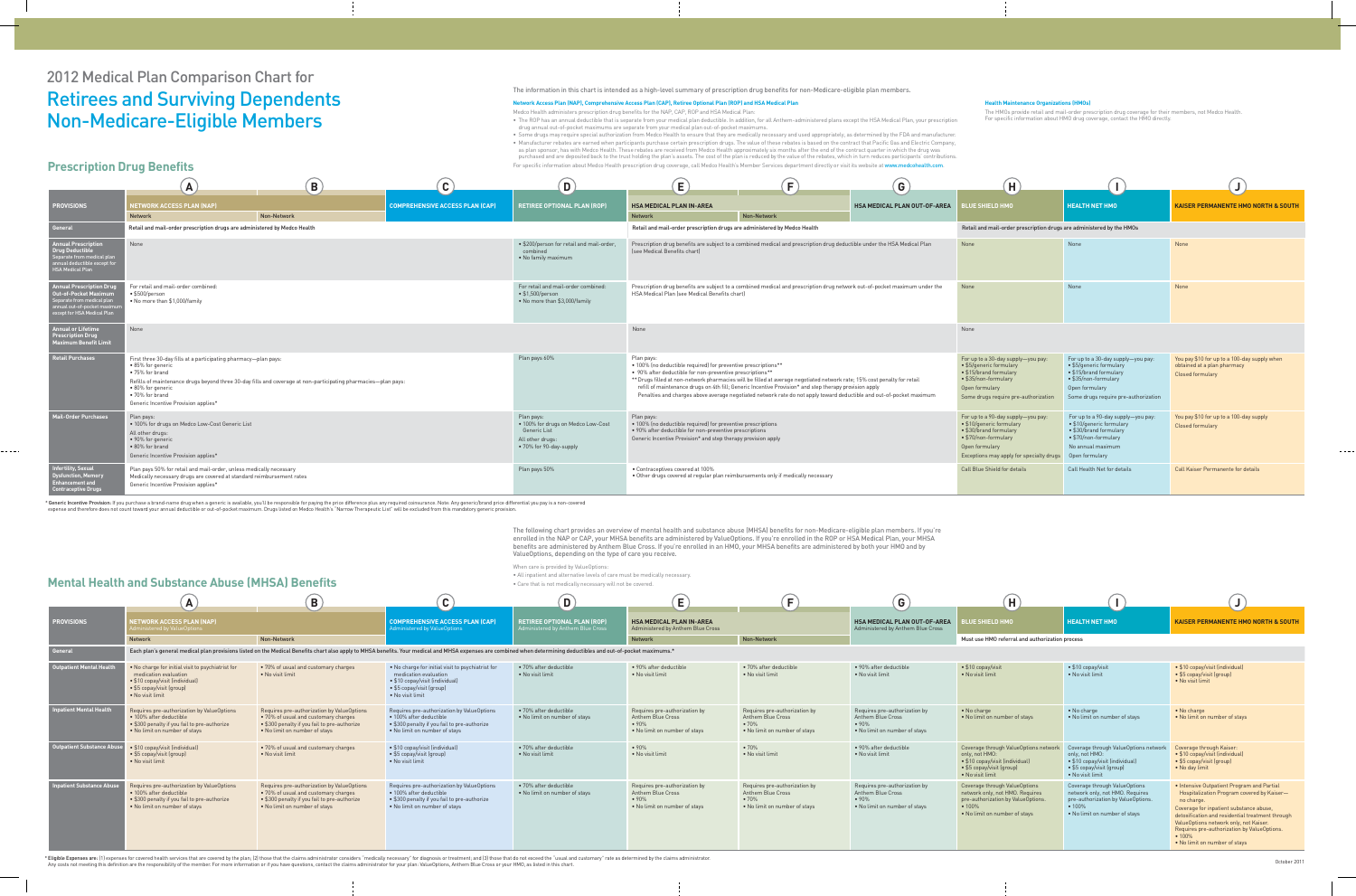# 2012 Medical Plan Comparison Chart for Retirees and Surviving Dependents Non-Medicare-Eligible Members

- The ROP has an annual deductible that is separate from your medical plan deductible. In addition, for all Anthem-administered plans except the HSA Medical Plan, your prescription drug annual out-of-pocket maximums are separate from your medical plan out-of-pocket maximums.
- Some drugs may require special authorization from Medco Health to ensure that they are medically necessary and used appropriately, as determined by the FDA and manufacturer. • Manufacturer rebates are earned when participants purchase certain prescription drugs. The value of these rebates is based on the contract that Pacific Gas and Electric Company, as plan sponsor, has with Medco Health. These rebates are received from Medco Health approximately six months after the end of the contract quarter in which the drug was purchased and are deposited back to the trust holding the plan's assets. The cost of the plan is reduced by the value of the rebates, which in turn reduces participants' contributions. For specific information about Medco Health prescription drug coverage, call Medco Health's Member Services department directly or visit its website at www.medcohealth.com.

| Н                                                                                                                                                                              |                                                                                                                                                                           |                                                                                                        |
|--------------------------------------------------------------------------------------------------------------------------------------------------------------------------------|---------------------------------------------------------------------------------------------------------------------------------------------------------------------------|--------------------------------------------------------------------------------------------------------|
| <b>BLUE SHIELD HMO</b>                                                                                                                                                         | <b>HEALTH NET HMO</b>                                                                                                                                                     | <b>KAISER PERMANENTE HMO NORTH &amp; SOUTH</b>                                                         |
| Retail and mail-order prescription drugs are administered by the HMOs                                                                                                          |                                                                                                                                                                           |                                                                                                        |
| <b>None</b>                                                                                                                                                                    | None                                                                                                                                                                      | None                                                                                                   |
| <b>None</b>                                                                                                                                                                    | None                                                                                                                                                                      | <b>None</b>                                                                                            |
| None                                                                                                                                                                           |                                                                                                                                                                           |                                                                                                        |
| For up to a 30-day supply-you pay:<br>• \$5/generic formulary<br>• \$15/brand formulary<br>• \$35/non-formulary<br>Open formulary<br>Some drugs require pre-authorization      | For up to a 30-day supply-you pay:<br>• \$5/generic formulary<br>• \$15/brand formulary<br>• \$35/non-formulary<br>Open formulary<br>Some drugs require pre-authorization | You pay \$10 for up to a 100-day supply when<br>obtained at a plan pharmacy<br><b>Closed formulary</b> |
| For up to a 90-day supply-you pay:<br>• \$10/generic formulary<br>• \$30/brand formulary<br>• \$70/non-formulary<br>Open formulary<br>Exceptions may apply for specialty drugs | For up to a 90-day supply-you pay:<br>• \$10/generic formulary<br>• \$30/brand formulary<br>• \$70/non-formulary<br>No annual maximum<br>Open formulary                   | You pay \$10 for up to a 100-day supply<br><b>Closed formulary</b>                                     |
| <b>Call Blue Shield for details</b>                                                                                                                                            | Call Health Net for details                                                                                                                                               | <b>Call Kaiser Permanente for details</b>                                                              |

#### The information in this chart is intended as a high-level summary of prescription drug benefits for non-Medicare-eligible plan members.

#### **Network Access Plan (NAP), Comprehensive Access Plan (CAP), Retiree Optional Plan (ROP) and HSA Medical Plan**

Medco Health administers prescription drug benefits for the NAP, CAP, ROP and HSA Medical Plan:

The following chart provides an overview of mental health and substance abuse (MHSA) benefits for non-Medicare-eligible plan members. If you're enrolled in the NAP or CAP, your MHSA benefits are administered by ValueOptions. If you're enrolled in the ROP or HSA Medical Plan, your MHSA benefits are administered by Anthem Blue Cross. If you're enrolled in an HMO, your MHSA benefits are administered by both your HMO and by ValueOptions, depending on the type of care you receive.

When care is provided by ValueOptions:

• All inpatient and alternative levels of care must be medically necessary.

• Care that is not medically necessary will not be covered.

#### **Health Maintenance Organizations (HMOs)**

The HMOs provide retail and mail-order prescription drug coverage for their members, not Medco Health. For specific information about HMO drug coverage, contact the HMO directly.

|                                                                                                                                                 | A                                                                                                                                                                                                                                                                                                                         | $\mathbf B$ | $\bullet$                              | D)                                                                                                              | E.                                                                                                                                                                                                     | F.                                                                                                                                                                                                                                                                                                                                                         | G)                                  | $\left( H\right)$                                                                                                                                                              |                                                                                                                                                                                           |                                                                                                 |
|-------------------------------------------------------------------------------------------------------------------------------------------------|---------------------------------------------------------------------------------------------------------------------------------------------------------------------------------------------------------------------------------------------------------------------------------------------------------------------------|-------------|----------------------------------------|-----------------------------------------------------------------------------------------------------------------|--------------------------------------------------------------------------------------------------------------------------------------------------------------------------------------------------------|------------------------------------------------------------------------------------------------------------------------------------------------------------------------------------------------------------------------------------------------------------------------------------------------------------------------------------------------------------|-------------------------------------|--------------------------------------------------------------------------------------------------------------------------------------------------------------------------------|-------------------------------------------------------------------------------------------------------------------------------------------------------------------------------------------|-------------------------------------------------------------------------------------------------|
| <b>PROVISIONS</b>                                                                                                                               | <b>NETWORK ACCESS PLAN (NAP)</b><br><b>Network</b>                                                                                                                                                                                                                                                                        | Non-Network | <b>COMPREHENSIVE ACCESS PLAN (CAP)</b> | <b>RETIREE OPTIONAL PLAN (ROP)</b>                                                                              | <b>HSA MEDICAL PLAN IN-AREA</b><br><b>Network</b>                                                                                                                                                      | Non-Network                                                                                                                                                                                                                                                                                                                                                | <b>HSA MEDICAL PLAN OUT-OF-AREA</b> | <b>BLUE SHIELD HMO</b>                                                                                                                                                         | <b>HEALTH NET HMO</b>                                                                                                                                                                     | <b>KAISER PERMANENTE HMO NORTH &amp; SOUTH</b>                                                  |
| General                                                                                                                                         | Retail and mail-order prescription drugs are administered by Medco Health                                                                                                                                                                                                                                                 |             |                                        |                                                                                                                 | Retail and mail-order prescription drugs are administered by Medco Health                                                                                                                              |                                                                                                                                                                                                                                                                                                                                                            |                                     | Retail and mail-order prescription drugs are administered by the HMOs                                                                                                          |                                                                                                                                                                                           |                                                                                                 |
| nnual Prescription<br>Drug Deductible<br>eparate from medical plan<br>nual deductible except for<br><b>ISA Medical Plan</b>                     | None                                                                                                                                                                                                                                                                                                                      |             |                                        | • \$200/person for retail and mail-order,<br>combined<br>• No family maximum                                    | (see Medical Benefits chart)                                                                                                                                                                           | Prescription drug benefits are subject to a combined medical and prescription drug deductible under the HSA Medical Plan                                                                                                                                                                                                                                   |                                     | None                                                                                                                                                                           | None                                                                                                                                                                                      | None                                                                                            |
| <b>Annual Prescription Drug</b><br>Out-of-Pocket Maximum<br>Separate from medical plan<br>nual out-of-pocket maxim<br>cept for HSA Medical Plan | For retail and mail-order combined:<br>$\bullet$ \$500/person<br>• No more than \$1,000/family                                                                                                                                                                                                                            |             |                                        | For retail and mail-order combined:<br>$\cdot$ \$1,500/person<br>• No more than \$3,000/family                  | Prescription drug benefits are subject to a combined medical and prescription drug network out-of-pocket maximum under the<br>HSA Medical Plan (see Medical Benefits chart)                            |                                                                                                                                                                                                                                                                                                                                                            |                                     | None                                                                                                                                                                           | None                                                                                                                                                                                      | None                                                                                            |
| nnual or Lifetime<br><b>Prescription Drug</b><br><b>Maximum Benefit Limit</b>                                                                   | None                                                                                                                                                                                                                                                                                                                      |             |                                        |                                                                                                                 | None                                                                                                                                                                                                   |                                                                                                                                                                                                                                                                                                                                                            |                                     | None                                                                                                                                                                           |                                                                                                                                                                                           |                                                                                                 |
| <b>Retail Purchases</b>                                                                                                                         | First three 30-day fills at a participating pharmacy-plan pays:<br>• 85% for generic<br>$\bullet$ 75% for brand<br>Refills of maintenance drugs beyond three 30-day fills and coverage at non-participating pharmacies-plan pays:<br>$\bullet$ 80% for generic<br>• 70% for brand<br>Generic Incentive Provision applies* |             |                                        | Plan pays 60%                                                                                                   | Plan pays:<br>• 100% (no deductible required) for preventive prescriptions**<br>• 90% after deductible for non-preventive prescriptions**                                                              | ** Drugs filled at non-network pharmacies will be filled at average negotiated network rate; 15% cost penalty for retail<br>refill of maintenance drugs on 4th fill; Generic Incentive Provision* and step therapy provision apply<br>Penalties and charges above average negotiated network rate do not apply toward deductible and out-of-pocket maximum |                                     | For up to a 30-day supply-you pay:<br>• \$5/generic formulary<br>• \$15/brand formulary<br>• \$35/non-formulary<br>Open formulary<br>Some drugs require pre-authorizatio       | For up to a 30-day supply-you pay:<br>$\bullet$ \$5/generic formulary<br>$\bullet$ \$15/brand formulary<br>• \$35/non-formulary<br>Open formulary<br>Some drugs require pre-authorization | You pay \$10 for up to a 100-day supply when<br>obtained at a plan pharmacy<br>Closed formulary |
| <b>Mail-Order Purchases</b>                                                                                                                     | Plan pays:<br>. 100% for drugs on Medco Low-Cost Generic List<br>All other drugs:<br>• 90% for generic<br>• 80% for brand<br>Generic Incentive Provision applies*                                                                                                                                                         |             |                                        | Plan pays:<br>. 100% for drugs on Medco Low-Cost<br>Generic List<br>All other drugs:<br>• 70% for 90-day-supply | Plan pays:<br>• 100% (no deductible required) for preventive prescriptions<br>. 90% after deductible for non-preventive prescriptions<br>Generic Incentive Provision* and step therapy provision apply |                                                                                                                                                                                                                                                                                                                                                            |                                     | For up to a 90-day supply-you pay:<br>• \$10/generic formulary<br>• \$30/brand formulary<br>• \$70/non-formulary<br>Open formulary<br>Exceptions may apply for specialty drugs | For up to a 90-day supply-you pay:<br>$\bullet$ \$10/generic formulary<br>● \$30/brand formulary<br>$\bullet$ \$70/non-formulary<br>No annual maximum<br>Open formulary                   | You pay \$10 for up to a 100-day supply<br>Closed formulary                                     |
| <b>Infertility, Sexual</b><br><b>Dysfunction, Memory</b><br><b>Enhancement and</b><br>ontraceptive Drugs:                                       | Plan pays 50% for retail and mail-order, unless medically necessary<br>Medically necessary drugs are covered at standard reimbursement rates<br>Generic Incentive Provision applies*                                                                                                                                      |             |                                        | Plan pays 50%                                                                                                   | • Contraceptives covered at 100%<br>• Other drugs covered at regular plan reimbursements only if medically necessary                                                                                   |                                                                                                                                                                                                                                                                                                                                                            |                                     | Call Blue Shield for details                                                                                                                                                   | Call Health Net for details                                                                                                                                                               | Call Kaiser Permanente for details                                                              |

\* Generic Incentive Provision: If you purchase a brand-name drug when a generic is available, you'll be responsible for paying the price difference plus any required coinsurance. Note: Any generic/brand price differential expense and therefore does not count toward your annual deductible or out-of-pocket maximum. Drugs listed on Medco Health's "Narrow Therapeutic List" will be excluded from this mandatory generic provision.

### **Prescription Drug Benefits**

|                                  |                                                                                                                                                                | $\vert$ B                                                                                                                                                                                                           | $\overline{c}$                                                                                                                                                 | D                                                                       | E                                                                                                  | F                                                                                                  | $\left( $                                                                                                   | $\left( H\right)$                                                                                                                                 |                                                                                                                                                           |                                                                                                                                                                                                                                                                                                                                           |
|----------------------------------|----------------------------------------------------------------------------------------------------------------------------------------------------------------|---------------------------------------------------------------------------------------------------------------------------------------------------------------------------------------------------------------------|----------------------------------------------------------------------------------------------------------------------------------------------------------------|-------------------------------------------------------------------------|----------------------------------------------------------------------------------------------------|----------------------------------------------------------------------------------------------------|-------------------------------------------------------------------------------------------------------------|---------------------------------------------------------------------------------------------------------------------------------------------------|-----------------------------------------------------------------------------------------------------------------------------------------------------------|-------------------------------------------------------------------------------------------------------------------------------------------------------------------------------------------------------------------------------------------------------------------------------------------------------------------------------------------|
| <b>PROVISIONS</b>                | <b>ETWORK ACCESS PLAN (NAP)</b><br>ninistered by ValueOptions                                                                                                  |                                                                                                                                                                                                                     | <b>COMPREHENSIVE ACCESS PLAN (CAP)</b><br>Administered by ValueOptions                                                                                         | <b>RETIREE OPTIONAL PLAN (ROP)</b><br>Administered by Anthem Blue Cross | <b>HSA MEDICAL PLAN IN-AREA</b><br>Administered by Anthem Blue Cross                               |                                                                                                    | <b>HSA MEDICAL PLAN OUT-OF-AREA</b><br>Administered by Anthem Blue Cross                                    | <b>UE SHIELD HMO</b>                                                                                                                              | <b>LHEALTH NET HMO</b>                                                                                                                                    | <b>KAISER PERMANENTE HMO NORTH &amp; SOUTH</b>                                                                                                                                                                                                                                                                                            |
|                                  | <b>Network</b>                                                                                                                                                 | Non-Network                                                                                                                                                                                                         |                                                                                                                                                                |                                                                         | <b>Network</b>                                                                                     | Non-Network                                                                                        |                                                                                                             | Must use HMO referral and authorization process                                                                                                   |                                                                                                                                                           |                                                                                                                                                                                                                                                                                                                                           |
| General                          |                                                                                                                                                                | Each plan's general medical plan provisions listed on the Medical Benefits chart also apply to MHSA benefits. Your medical and MHSA expenses are combined when determining deductibles and out-of-pocket maximums.* |                                                                                                                                                                |                                                                         |                                                                                                    |                                                                                                    |                                                                                                             |                                                                                                                                                   |                                                                                                                                                           |                                                                                                                                                                                                                                                                                                                                           |
| <b>Outpatient Mental Health</b>  | . No charge for initial visit to psychiatrist for<br>medication evaluation<br>• \$10 copay/visit (individual)<br>• \$5 copay/visit (group)<br>• No visit limit | . 70% of usual and customary charges<br>• No visit limit                                                                                                                                                            | . No charge for initial visit to psychiatrist for<br>medication evaluation<br>• \$10 copay/visit (individual)<br>• \$5 copay/visit (group)<br>• No visit limit | • 70% after deductible<br>• No visit limit                              | • 90% after deductible<br>• No visit limit                                                         | • 70% after deductible<br>• No visit limit                                                         | • 90% after deductible<br>• No visit limit                                                                  | $\bullet$ \$10 copay/visit<br>• No visit limit                                                                                                    | $\bullet$ \$10 copay/visit<br>• No visit limit                                                                                                            | • \$10 copay/visit (individual)<br>• \$5 copay/visit (group)<br>• No visit limit                                                                                                                                                                                                                                                          |
| patient Mental Health            | Requires pre-authorization by ValueOptions<br>• 100% after deductible<br>• \$300 penalty if you fail to pre-authorize<br>. No limit on number of stays         | Requires pre-authorization by ValueOptions<br>• 70% of usual and customary charges<br>• \$300 penalty if you fail to pre-authorize<br>. No limit on number of stays                                                 | Requires pre-authorization by ValueOptions<br>· 100% after deductible<br>• \$300 penalty if you fail to pre-authorize<br>• No limit on number of stays         | • 70% after deductible<br>• No limit on number of stays                 | Requires pre-authorization by<br><b>Anthem Blue Cross</b><br>•90%<br>• No limit on number of stays | Requires pre-authorization by<br><b>Anthem Blue Cross</b><br>•70%<br>. No limit on number of stays | Requires pre-authorization by<br><b>Anthem Blue Cross</b><br>•90%<br>• No limit on number of stays          | • No charge<br>. No limit on number of stays                                                                                                      | • No charge<br>• No limit on number of stays                                                                                                              | • No charge<br>. No limit on number of stays                                                                                                                                                                                                                                                                                              |
| Outpatient Substance Abuse       | • \$10 copay/visit (individual)<br>• \$5 copay/visit (group)<br>• No visit limit                                                                               | • 70% of usual and customary charges<br>• No visit limit                                                                                                                                                            | • \$10 copay/visit (individual)<br>• \$5 copay/visit (group)<br>• No visit limit                                                                               | • 70% after deductible<br>• No visit limit                              | $\bullet$ 90%<br>• No visit limit                                                                  | $\bullet$ 70%<br>• No visit limit                                                                  | • 90% after deductible<br>• No visit limit                                                                  | Coverage through ValueOptions network<br>only, not HMO:<br>• \$10 copay/visit (individual)<br>• \$5 copay/visit (group)<br>• No visit limit       | Coverage through ValueOptions network<br>only, not HMO:<br>• \$10 copay/visit (individual)<br>• \$5 copay/visit (group)<br>• No visit limit               | Coverage through Kaiser:<br>• \$10 copay/visit (individual)<br>• \$5 copay/visit (group)<br>• No day limit                                                                                                                                                                                                                                |
| <b>Inpatient Substance Abuse</b> | Requires pre-authorization by ValueOptions<br>• 100% after deductible<br>• \$300 penalty if you fail to pre-authorize<br>. No limit on number of stays         | Requires pre-authorization by ValueOptions<br>• 70% of usual and customary charges<br>• \$300 penalty if you fail to pre-authorize<br>. No limit on number of stays                                                 | Requires pre-authorization by ValueOptions<br>• 100% after deductible<br>• \$300 penalty if you fail to pre-authorize<br>• No limit on number of stays         | • 70% after deductible<br>• No limit on number of stays                 | Requires pre-authorization by<br><b>Anthem Blue Cross</b><br>•90%<br>• No limit on number of stays | Requires pre-authorization by<br><b>Anthem Blue Cross</b><br>•70%<br>. No limit on number of stays | Requires pre-authorization by<br><b>Anthem Blue Cross</b><br>$\bullet$ 90%<br>. No limit on number of stays | Coverage through ValueOptions<br>network only, not HMO. Requires<br>pre-authorization by ValueOptions.<br>• 100%<br>• No limit on number of stays | Coverage through ValueOptions<br>network only, not HMO. Requires<br>pre-authorization by ValueOptions.<br>$\bullet$ 100%<br>• No limit on number of stays | . Intensive Outpatient Program and Partial<br>Hospitalization Program covered by Kaiser-<br>no charge.<br>Coverage for inpatient substance abuse,<br>detoxification and residential treatment through<br>ValueOptions network only, not Kaiser.<br>Requires pre-authorization by ValueOptions.<br>• 100%<br>• No limit on number of stays |

\* Eligible Expenses are: (1) expenses for covered health services that are covered by the plan; (2) those that the claims administrator considers "medically necessary" for diagnosis or treatment; and (3) those that do not Any costs not meeting this definition are the responsibility of the member. For more information or if you have questions, contact the claims administrator for your plan: ValueOptions, Anthem Blue Cross or your HMO, as lis

## **Mental Health and Substance Abuse (MHSA) Benefits**